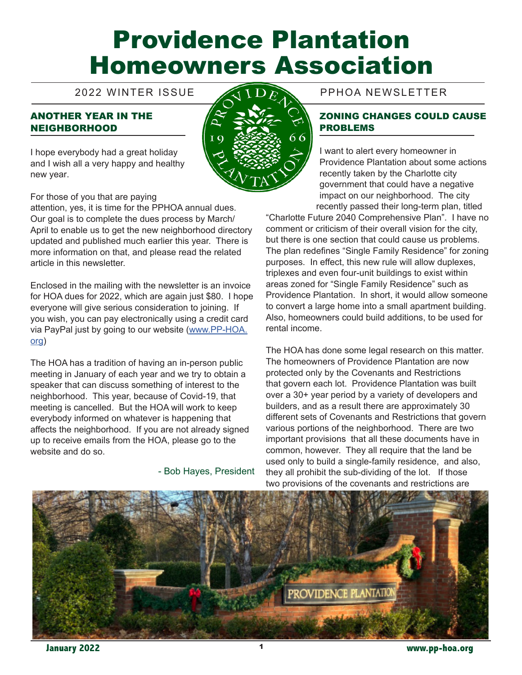# Providence Plantation Homeowners Association

# ANOTHER YEAR IN THE NEIGHBORHOOD





For those of you that are paying

attention, yes, it is time for the PPHOA annual dues. Our goal is to complete the dues process by March/ April to enable us to get the new neighborhood directory updated and published much earlier this year. There is more information on that, and please read the related article in this newsletter.

Enclosed in the mailing with the newsletter is an invoice for HOA dues for 2022, which are again just \$80. I hope everyone will give serious consideration to joining. If you wish, you can pay electronically using a credit card via PayPal just by going to our website (www.PP-HOA. org)

The HOA has a tradition of having an in-person public meeting in January of each year and we try to obtain a speaker that can discuss something of interest to the neighborhood. This year, because of Covid-19, that meeting is cancelled. But the HOA will work to keep everybody informed on whatever is happening that affects the neighborhood. If you are not already signed up to receive emails from the HOA, please go to the website and do so.

- Bob Hayes, President

# 2022 WINTER ISSUE PPHOA NEWSLETTER

#### ZONING CHANGES COULD CAUSE PROBLEMS

I want to alert every homeowner in Providence Plantation about some actions recently taken by the Charlotte city government that could have a negative impact on our neighborhood. The city recently passed their long-term plan, titled

"Charlotte Future 2040 Comprehensive Plan". I have no comment or criticism of their overall vision for the city, but there is one section that could cause us problems. The plan redefines "Single Family Residence" for zoning purposes. In effect, this new rule will allow duplexes, triplexes and even four-unit buildings to exist within areas zoned for "Single Family Residence" such as Providence Plantation. In short, it would allow someone to convert a large home into a small apartment building. Also, homeowners could build additions, to be used for rental income.

The HOA has done some legal research on this matter. The homeowners of Providence Plantation are now protected only by the Covenants and Restrictions that govern each lot. Providence Plantation was built over a 30+ year period by a variety of developers and builders, and as a result there are approximately 30 different sets of Covenants and Restrictions that govern various portions of the neighborhood. There are two important provisions that all these documents have in common, however. They all require that the land be used only to build a single-family residence, and also, they all prohibit the sub-dividing of the lot. If those two provisions of the covenants and restrictions are



 **January 2022** 1 **www.pp-hoa.org**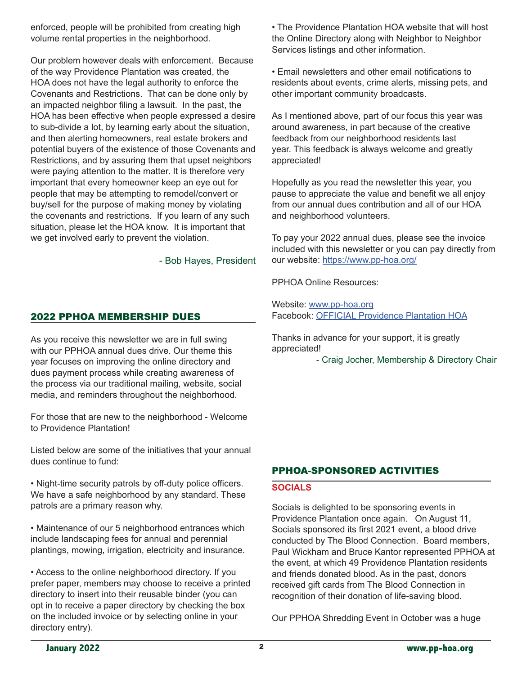enforced, people will be prohibited from creating high volume rental properties in the neighborhood.

Our problem however deals with enforcement. Because of the way Providence Plantation was created, the HOA does not have the legal authority to enforce the Covenants and Restrictions. That can be done only by an impacted neighbor filing a lawsuit. In the past, the HOA has been effective when people expressed a desire to sub-divide a lot, by learning early about the situation, and then alerting homeowners, real estate brokers and potential buyers of the existence of those Covenants and Restrictions, and by assuring them that upset neighbors were paying attention to the matter. It is therefore very important that every homeowner keep an eye out for people that may be attempting to remodel/convert or buy/sell for the purpose of making money by violating the covenants and restrictions. If you learn of any such situation, please let the HOA know. It is important that we get involved early to prevent the violation.

- Bob Hayes, President

### 2022 PPHOA MEMBERSHIP DUES

As you receive this newsletter we are in full swing with our PPHOA annual dues drive. Our theme this year focuses on improving the online directory and dues payment process while creating awareness of the process via our traditional mailing, website, social media, and reminders throughout the neighborhood.

For those that are new to the neighborhood - Welcome to Providence Plantation!

Listed below are some of the initiatives that your annual dues continue to fund:

• Night-time security patrols by off-duty police officers. We have a safe neighborhood by any standard. These patrols are a primary reason why.

• Maintenance of our 5 neighborhood entrances which include landscaping fees for annual and perennial plantings, mowing, irrigation, electricity and insurance.

• Access to the online neighborhood directory. If you prefer paper, members may choose to receive a printed directory to insert into their reusable binder (you can opt in to receive a paper directory by checking the box on the included invoice or by selecting online in your directory entry).

• The Providence Plantation HOA website that will host the Online Directory along with Neighbor to Neighbor Services listings and other information.

• Email newsletters and other email notifications to residents about events, crime alerts, missing pets, and other important community broadcasts.

As I mentioned above, part of our focus this year was around awareness, in part because of the creative feedback from our neighborhood residents last year. This feedback is always welcome and greatly appreciated!

Hopefully as you read the newsletter this year, you pause to appreciate the value and benefit we all enjoy from our annual dues contribution and all of our HOA and neighborhood volunteers.

To pay your 2022 annual dues, please see the invoice included with this newsletter or you can pay directly from our website: https://www.pp-hoa.org/

PPHOA Online Resources:

Website: www.pp-hoa.org Facebook: OFFICIAL Providence Plantation HOA

Thanks in advance for your support, it is greatly appreciated!

- Craig Jocher, Membership & Directory Chair

# PPHOA-SPONSORED ACTIVITIES

#### **SOCIALS**

Socials is delighted to be sponsoring events in Providence Plantation once again. On August 11, Socials sponsored its first 2021 event, a blood drive conducted by The Blood Connection. Board members, Paul Wickham and Bruce Kantor represented PPHOA at the event, at which 49 Providence Plantation residents and friends donated blood. As in the past, donors received gift cards from The Blood Connection in recognition of their donation of life-saving blood.

Our PPHOA Shredding Event in October was a huge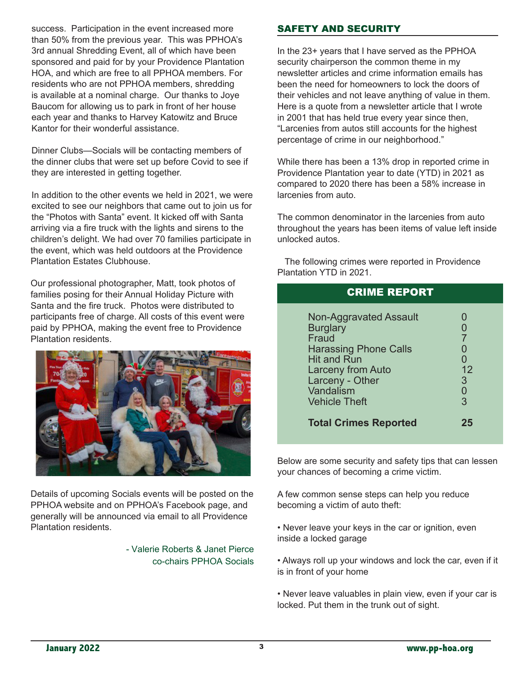success. Participation in the event increased more than 50% from the previous year. This was PPHOA's 3rd annual Shredding Event, all of which have been sponsored and paid for by your Providence Plantation HOA, and which are free to all PPHOA members. For residents who are not PPHOA members, shredding is available at a nominal charge. Our thanks to Joye Baucom for allowing us to park in front of her house each year and thanks to Harvey Katowitz and Bruce Kantor for their wonderful assistance.

Dinner Clubs—Socials will be contacting members of the dinner clubs that were set up before Covid to see if they are interested in getting together.

In addition to the other events we held in 2021, we were excited to see our neighbors that came out to join us for the "Photos with Santa" event. It kicked off with Santa arriving via a fire truck with the lights and sirens to the children's delight. We had over 70 families participate in the event, which was held outdoors at the Providence Plantation Estates Clubhouse.

Our professional photographer, Matt, took photos of families posing for their Annual Holiday Picture with Santa and the fire truck. Photos were distributed to participants free of charge. All costs of this event were paid by PPHOA, making the event free to Providence Plantation residents.



Details of upcoming Socials events will be posted on the PPHOA website and on PPHOA's Facebook page, and generally will be announced via email to all Providence Plantation residents.

> - Valerie Roberts & Janet Pierce co-chairs PPHOA Socials

# SAFETY AND SECURITY

In the 23+ years that I have served as the PPHOA security chairperson the common theme in my newsletter articles and crime information emails has been the need for homeowners to lock the doors of their vehicles and not leave anything of value in them. Here is a quote from a newsletter article that I wrote in 2001 that has held true every year since then, "Larcenies from autos still accounts for the highest percentage of crime in our neighborhood."

While there has been a 13% drop in reported crime in Providence Plantation year to date (YTD) in 2021 as compared to 2020 there has been a 58% increase in larcenies from auto.

The common denominator in the larcenies from auto throughout the years has been items of value left inside unlocked autos.

 The following crimes were reported in Providence Plantation YTD in 2021.

| <b>CRIME REPORT</b>                                                                                                                                                                                 |                             |
|-----------------------------------------------------------------------------------------------------------------------------------------------------------------------------------------------------|-----------------------------|
| <b>Non-Aggravated Assault</b><br><b>Burglary</b><br>Fraud<br><b>Harassing Phone Calls</b><br><b>Hit and Run</b><br><b>Larceny from Auto</b><br>Larceny - Other<br>Vandalism<br><b>Vehicle Theft</b> | O<br>7<br>12<br>3<br>0<br>3 |
| <b>Total Crimes Reported</b>                                                                                                                                                                        | 25                          |

Below are some security and safety tips that can lessen your chances of becoming a crime victim.

A few common sense steps can help you reduce becoming a victim of auto theft:

• Never leave your keys in the car or ignition, even inside a locked garage

- Always roll up your windows and lock the car, even if it is in front of your home
- Never leave valuables in plain view, even if your car is locked. Put them in the trunk out of sight.